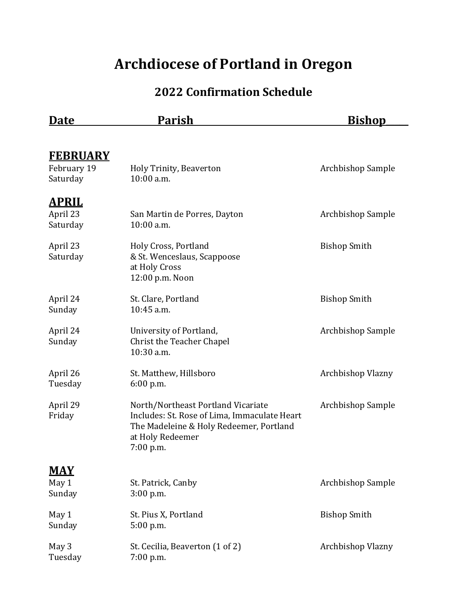## **Archdiocese of Portland in Oregon**

## **2022 Confirmation Schedule**

| <u>Date</u>                                | Parish                                                                                                                                                         | <u>Bishop</u>       |
|--------------------------------------------|----------------------------------------------------------------------------------------------------------------------------------------------------------------|---------------------|
|                                            |                                                                                                                                                                |                     |
| <u>FEBRUARY</u><br>February 19<br>Saturday | Holy Trinity, Beaverton<br>10:00 a.m.                                                                                                                          | Archbishop Sample   |
| <u>APRIL</u><br>April 23<br>Saturday       | San Martin de Porres, Dayton<br>10:00 a.m.                                                                                                                     | Archbishop Sample   |
| April 23<br>Saturday                       | Holy Cross, Portland<br>& St. Wenceslaus, Scappoose<br>at Holy Cross<br>12:00 p.m. Noon                                                                        | <b>Bishop Smith</b> |
| April 24<br>Sunday                         | St. Clare, Portland<br>10:45 a.m.                                                                                                                              | <b>Bishop Smith</b> |
| April 24<br>Sunday                         | University of Portland,<br>Christ the Teacher Chapel<br>10:30 a.m.                                                                                             | Archbishop Sample   |
| April 26<br>Tuesday                        | St. Matthew, Hillsboro<br>6:00 p.m.                                                                                                                            | Archbishop Vlazny   |
| April 29<br>Friday                         | North/Northeast Portland Vicariate<br>Includes: St. Rose of Lima, Immaculate Heart<br>The Madeleine & Holy Redeemer, Portland<br>at Holy Redeemer<br>7:00 p.m. | Archbishop Sample   |
| <u>MAY</u>                                 |                                                                                                                                                                |                     |
| May 1<br>Sunday                            | St. Patrick, Canby<br>$3:00$ p.m.                                                                                                                              | Archbishop Sample   |
| May 1<br>Sunday                            | St. Pius X, Portland<br>5:00 p.m.                                                                                                                              | <b>Bishop Smith</b> |
| May 3<br>Tuesday                           | St. Cecilia, Beaverton (1 of 2)<br>7:00 p.m.                                                                                                                   | Archbishop Vlazny   |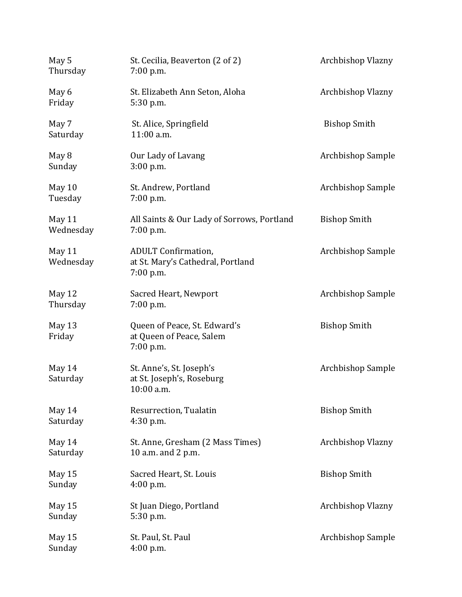| May 5<br>Thursday   | St. Cecilia, Beaverton (2 of 2)<br>$7:00$ p.m.                                 | Archbishop Vlazny   |
|---------------------|--------------------------------------------------------------------------------|---------------------|
| May 6<br>Friday     | St. Elizabeth Ann Seton, Aloha<br>5:30 p.m.                                    | Archbishop Vlazny   |
| May 7<br>Saturday   | St. Alice, Springfield<br>11:00 a.m.                                           | <b>Bishop Smith</b> |
| May 8<br>Sunday     | Our Lady of Lavang<br>$3:00$ p.m.                                              | Archbishop Sample   |
| May 10<br>Tuesday   | St. Andrew, Portland<br>7:00 p.m.                                              | Archbishop Sample   |
| May 11<br>Wednesday | All Saints & Our Lady of Sorrows, Portland<br>7:00 p.m.                        | <b>Bishop Smith</b> |
| May 11<br>Wednesday | <b>ADULT Confirmation,</b><br>at St. Mary's Cathedral, Portland<br>$7:00$ p.m. | Archbishop Sample   |
| May 12<br>Thursday  | Sacred Heart, Newport<br>$7:00$ p.m.                                           | Archbishop Sample   |
| May 13<br>Friday    | Queen of Peace, St. Edward's<br>at Queen of Peace, Salem<br>7:00 p.m.          | <b>Bishop Smith</b> |
| May 14<br>Saturday  | St. Anne's, St. Joseph's<br>at St. Joseph's, Roseburg<br>$10:00$ a.m.          | Archbishop Sample   |
| May 14<br>Saturday  | Resurrection, Tualatin<br>4:30 p.m.                                            | <b>Bishop Smith</b> |
| May 14<br>Saturday  | St. Anne, Gresham (2 Mass Times)<br>10 a.m. and 2 p.m.                         | Archbishop Vlazny   |
| May 15<br>Sunday    | Sacred Heart, St. Louis<br>4:00 p.m.                                           | <b>Bishop Smith</b> |
| May 15<br>Sunday    | St Juan Diego, Portland<br>5:30 p.m.                                           | Archbishop Vlazny   |
| May 15<br>Sunday    | St. Paul, St. Paul<br>4:00 p.m.                                                | Archbishop Sample   |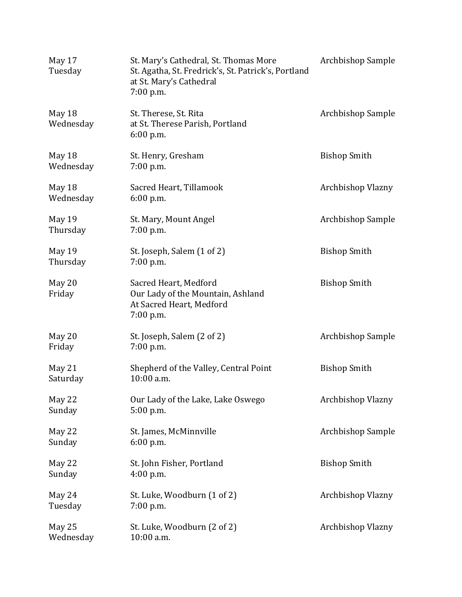| May 17<br>Tuesday   | St. Mary's Cathedral, St. Thomas More<br>St. Agatha, St. Fredrick's, St. Patrick's, Portland<br>at St. Mary's Cathedral<br>7:00 p.m. | Archbishop Sample   |
|---------------------|--------------------------------------------------------------------------------------------------------------------------------------|---------------------|
| May 18<br>Wednesday | St. Therese, St. Rita<br>at St. Therese Parish, Portland<br>6:00 p.m.                                                                | Archbishop Sample   |
| May 18<br>Wednesday | St. Henry, Gresham<br>7:00 p.m.                                                                                                      | <b>Bishop Smith</b> |
| May 18<br>Wednesday | Sacred Heart, Tillamook<br>6:00 p.m.                                                                                                 | Archbishop Vlazny   |
| May 19<br>Thursday  | St. Mary, Mount Angel<br>7:00 p.m.                                                                                                   | Archbishop Sample   |
| May 19<br>Thursday  | St. Joseph, Salem (1 of 2)<br>7:00 p.m.                                                                                              | <b>Bishop Smith</b> |
| May 20<br>Friday    | Sacred Heart, Medford<br>Our Lady of the Mountain, Ashland<br>At Sacred Heart, Medford<br>7:00 p.m.                                  | <b>Bishop Smith</b> |
| May 20<br>Friday    | St. Joseph, Salem (2 of 2)<br>7:00 p.m.                                                                                              | Archbishop Sample   |
| May 21<br>Saturday  | Shepherd of the Valley, Central Point<br>10:00 a.m.                                                                                  | <b>Bishop Smith</b> |
| May 22<br>Sunday    | Our Lady of the Lake, Lake Oswego<br>5:00 p.m.                                                                                       | Archbishop Vlazny   |
| May 22<br>Sunday    | St. James, McMinnville<br>6:00 p.m.                                                                                                  | Archbishop Sample   |
| May 22<br>Sunday    | St. John Fisher, Portland<br>4:00 p.m.                                                                                               | <b>Bishop Smith</b> |
| May 24<br>Tuesday   | St. Luke, Woodburn (1 of 2)<br>7:00 p.m.                                                                                             | Archbishop Vlazny   |
| May 25<br>Wednesday | St. Luke, Woodburn (2 of 2)<br>10:00 a.m.                                                                                            | Archbishop Vlazny   |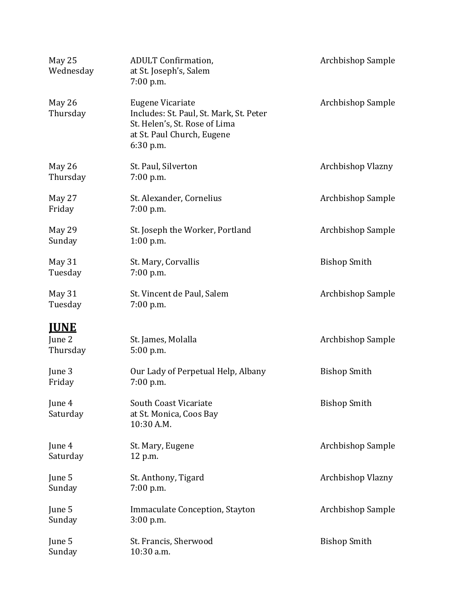| May 25<br>Wednesday | <b>ADULT Confirmation,</b><br>at St. Joseph's, Salem<br>$7:00$ p.m.                                                                            | Archbishop Sample   |
|---------------------|------------------------------------------------------------------------------------------------------------------------------------------------|---------------------|
| May 26<br>Thursday  | <b>Eugene Vicariate</b><br>Includes: St. Paul, St. Mark, St. Peter<br>St. Helen's, St. Rose of Lima<br>at St. Paul Church, Eugene<br>6:30 p.m. | Archbishop Sample   |
| May 26<br>Thursday  | St. Paul, Silverton<br>7:00 p.m.                                                                                                               | Archbishop Vlazny   |
| May 27<br>Friday    | St. Alexander, Cornelius<br>$7:00$ p.m.                                                                                                        | Archbishop Sample   |
| May 29<br>Sunday    | St. Joseph the Worker, Portland<br>$1:00$ p.m.                                                                                                 | Archbishop Sample   |
| May 31<br>Tuesday   | St. Mary, Corvallis<br>7:00 p.m.                                                                                                               | <b>Bishop Smith</b> |
| May 31<br>Tuesday   | St. Vincent de Paul, Salem<br>$7:00$ p.m.                                                                                                      | Archbishop Sample   |
| <b>IUNE</b>         |                                                                                                                                                |                     |
| June 2<br>Thursday  | St. James, Molalla<br>5:00 p.m.                                                                                                                | Archbishop Sample   |
| June 3<br>Friday    | Our Lady of Perpetual Help, Albany<br>7:00 p.m.                                                                                                | <b>Bishop Smith</b> |
| June 4<br>Saturday  | South Coast Vicariate<br>at St. Monica, Coos Bay<br>10:30 A.M.                                                                                 | <b>Bishop Smith</b> |
| June 4<br>Saturday  | St. Mary, Eugene<br>12 p.m.                                                                                                                    | Archbishop Sample   |
| June 5<br>Sunday    | St. Anthony, Tigard<br>$7:00$ p.m.                                                                                                             | Archbishop Vlazny   |
| June 5<br>Sunday    | Immaculate Conception, Stayton<br>$3:00$ p.m.                                                                                                  | Archbishop Sample   |
| June 5<br>Sunday    | St. Francis, Sherwood<br>10:30 a.m.                                                                                                            | <b>Bishop Smith</b> |